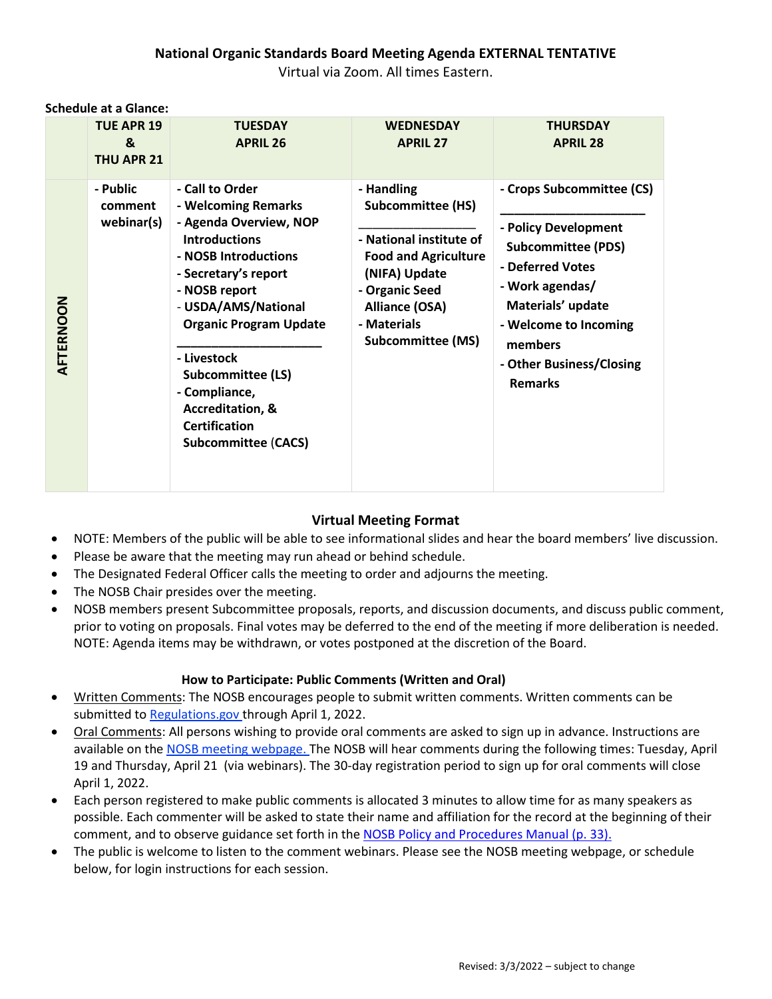## **National Organic Standards Board Meeting Agenda EXTERNAL TENTATIVE** Virtual via Zoom. All times Eastern.

|           | <b>TUE APR 19</b><br>&<br>THU APR 21 | <b>TUESDAY</b><br><b>APRIL 26</b>                                                                                                                                                                                                                                                                                                                                  | <b>WEDNESDAY</b><br><b>APRIL 27</b>                                                                                                                                                                     | <b>THURSDAY</b><br><b>APRIL 28</b>                                                                                                                                                                                           |
|-----------|--------------------------------------|--------------------------------------------------------------------------------------------------------------------------------------------------------------------------------------------------------------------------------------------------------------------------------------------------------------------------------------------------------------------|---------------------------------------------------------------------------------------------------------------------------------------------------------------------------------------------------------|------------------------------------------------------------------------------------------------------------------------------------------------------------------------------------------------------------------------------|
| AFTERNOON | - Public<br>comment<br>webinar(s)    | - Call to Order<br>- Welcoming Remarks<br>- Agenda Overview, NOP<br><b>Introductions</b><br>- NOSB Introductions<br>- Secretary's report<br>- NOSB report<br>- USDA/AMS/National<br><b>Organic Program Update</b><br>- Livestock<br><b>Subcommittee (LS)</b><br>- Compliance,<br><b>Accreditation, &amp;</b><br><b>Certification</b><br><b>Subcommittee (CACS)</b> | - Handling<br><b>Subcommittee (HS)</b><br>- National institute of<br><b>Food and Agriculture</b><br>(NIFA) Update<br>- Organic Seed<br><b>Alliance (OSA)</b><br>- Materials<br><b>Subcommittee (MS)</b> | - Crops Subcommittee (CS)<br>- Policy Development<br><b>Subcommittee (PDS)</b><br>- Deferred Votes<br>- Work agendas/<br>Materials' update<br>- Welcome to Incoming<br>members<br>- Other Business/Closing<br><b>Remarks</b> |

**Schedule at a Glance:**

## **Virtual Meeting Format**

- NOTE: Members of the public will be able to see informational slides and hear the board members' live discussion.
- Please be aware that the meeting may run ahead or behind schedule.
- The Designated Federal Officer calls the meeting to order and adjourns the meeting.
- The NOSB Chair presides over the meeting.
- NOSB members present Subcommittee proposals, reports, and discussion documents, and discuss public comment, prior to voting on proposals. Final votes may be deferred to the end of the meeting if more deliberation is needed. NOTE: Agenda items may be withdrawn, or votes postponed at the discretion of the Board.

## **How to Participate: Public Comments (Written and Oral)**

- Written Comments: The NOSB encourages people to submit written comments. Written comments can be submitted to [Regulations.gov](https://www.regulations.gov/) through April 1, 2022.
- Oral Comments: All persons wishing to provide oral comments are asked to sign up in advance. Instructions are available on the [NOSB meeting webpage.](https://www.ams.usda.gov/event/national-organic-standards-board-nosb-meeting-crystal-city-va-1) The NOSB will hear comments during the following times: Tuesday, April 19 and Thursday, April 21 (via webinars). The 30-day registration period to sign up for oral comments will close April 1, 2022.
- Each person registered to make public comments is allocated 3 minutes to allow time for as many speakers as possible. Each commenter will be asked to state their name and affiliation for the record at the beginning of their comment, and to observe guidance set forth in the [NOSB Policy and Procedures Manual \(p. 33\).](https://www.ams.usda.gov/sites/default/files/media/NOSB-PolicyManual.pdf)
- The public is welcome to listen to the comment webinars. Please see th[e NOSB meeting webpage,](https://www.ams.usda.gov/event/national-organic-standards-board-nosb-meeting-cedar-rapids-iowa) or schedule below, for login instructions for each session.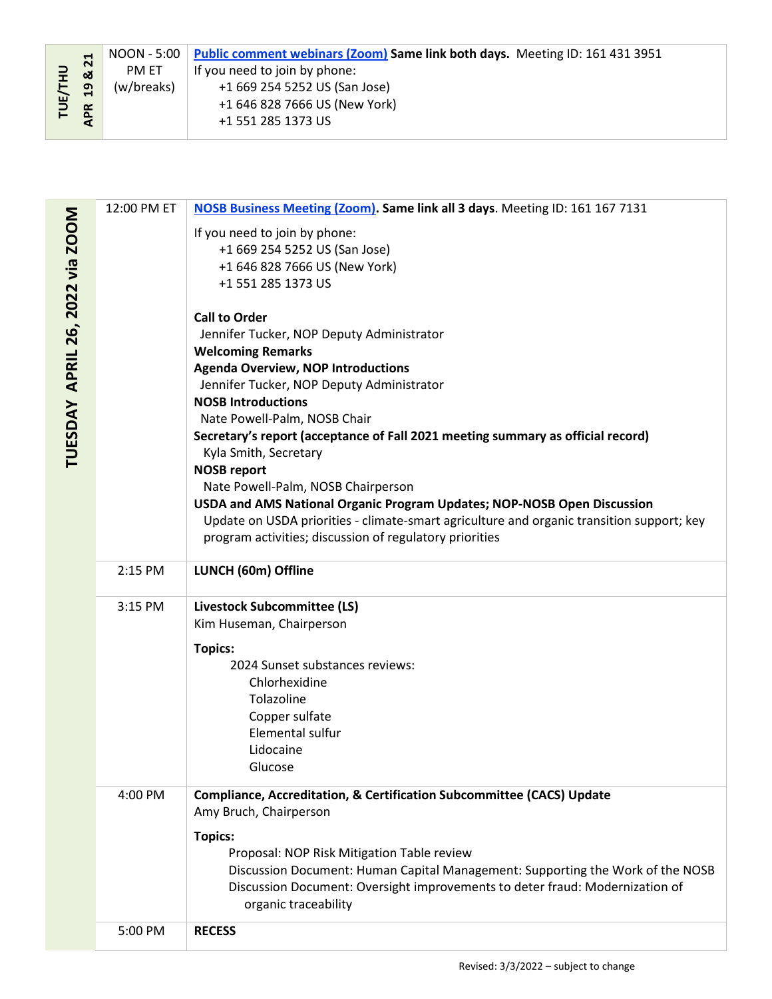| $\Box$ | $\overline{21}$<br>ఱ |            | NOON - 5:00 Public comment webinars (Zoom) Same link both days. Meeting ID: 161 431 3951 |
|--------|----------------------|------------|------------------------------------------------------------------------------------------|
|        |                      | PM ET      | If you need to join by phone:                                                            |
|        | $\mathbf{a}$         | (w/breaks) | +1 669 254 5252 US (San Jose)                                                            |
| 马      |                      |            | +1 646 828 7666 US (New York)                                                            |
|        | <b>APR</b>           |            | +1 551 285 1373 US                                                                       |
|        |                      |            |                                                                                          |

| $\mathbf{z}$<br><b>TUE/THU</b><br>ಡ<br>$\overline{a}$<br><b>APR</b> | <b>UU.C - PIUUPI</b><br>PM ET<br>(w/breaks) | <b>Public Comment Webmars (2001)</b> Same link both days. INJECTING ID: 101 431 3331<br>If you need to join by phone:<br>+1 669 254 5252 US (San Jose)<br>+1 646 828 7666 US (New York)<br>+1 551 285 1373 US                                                                                                                                                                                                                                                                                                                                                                                                                                                                                                                                                                                                                                                            |  |
|---------------------------------------------------------------------|---------------------------------------------|--------------------------------------------------------------------------------------------------------------------------------------------------------------------------------------------------------------------------------------------------------------------------------------------------------------------------------------------------------------------------------------------------------------------------------------------------------------------------------------------------------------------------------------------------------------------------------------------------------------------------------------------------------------------------------------------------------------------------------------------------------------------------------------------------------------------------------------------------------------------------|--|
|                                                                     |                                             |                                                                                                                                                                                                                                                                                                                                                                                                                                                                                                                                                                                                                                                                                                                                                                                                                                                                          |  |
| TUESDAY APRIL 26, 2022 via ZOOM                                     | 12:00 PM ET                                 | NOSB Business Meeting (Zoom). Same link all 3 days. Meeting ID: 161 167 7131<br>If you need to join by phone:<br>+1 669 254 5252 US (San Jose)<br>+1 646 828 7666 US (New York)<br>+1 551 285 1373 US<br><b>Call to Order</b><br>Jennifer Tucker, NOP Deputy Administrator<br><b>Welcoming Remarks</b><br><b>Agenda Overview, NOP Introductions</b><br>Jennifer Tucker, NOP Deputy Administrator<br><b>NOSB Introductions</b><br>Nate Powell-Palm, NOSB Chair<br>Secretary's report (acceptance of Fall 2021 meeting summary as official record)<br>Kyla Smith, Secretary<br><b>NOSB report</b><br>Nate Powell-Palm, NOSB Chairperson<br>USDA and AMS National Organic Program Updates; NOP-NOSB Open Discussion<br>Update on USDA priorities - climate-smart agriculture and organic transition support; key<br>program activities; discussion of regulatory priorities |  |
|                                                                     | 2:15 PM                                     | LUNCH (60m) Offline                                                                                                                                                                                                                                                                                                                                                                                                                                                                                                                                                                                                                                                                                                                                                                                                                                                      |  |
|                                                                     | 3:15 PM                                     | <b>Livestock Subcommittee (LS)</b><br>Kim Huseman, Chairperson<br><b>Topics:</b><br>2024 Sunset substances reviews:<br>Chlorhexidine<br>Tolazoline<br>Copper sulfate<br>Elemental sulfur<br>Lidocaine<br>Glucose                                                                                                                                                                                                                                                                                                                                                                                                                                                                                                                                                                                                                                                         |  |
|                                                                     | 4:00 PM                                     | Compliance, Accreditation, & Certification Subcommittee (CACS) Update<br>Amy Bruch, Chairperson<br><b>Topics:</b><br>Proposal: NOP Risk Mitigation Table review<br>Discussion Document: Human Capital Management: Supporting the Work of the NOSB<br>Discussion Document: Oversight improvements to deter fraud: Modernization of<br>organic traceability                                                                                                                                                                                                                                                                                                                                                                                                                                                                                                                |  |
|                                                                     | 5:00 PM                                     | <b>RECESS</b>                                                                                                                                                                                                                                                                                                                                                                                                                                                                                                                                                                                                                                                                                                                                                                                                                                                            |  |
|                                                                     |                                             | Revised: 3/3/2022 - subject to change                                                                                                                                                                                                                                                                                                                                                                                                                                                                                                                                                                                                                                                                                                                                                                                                                                    |  |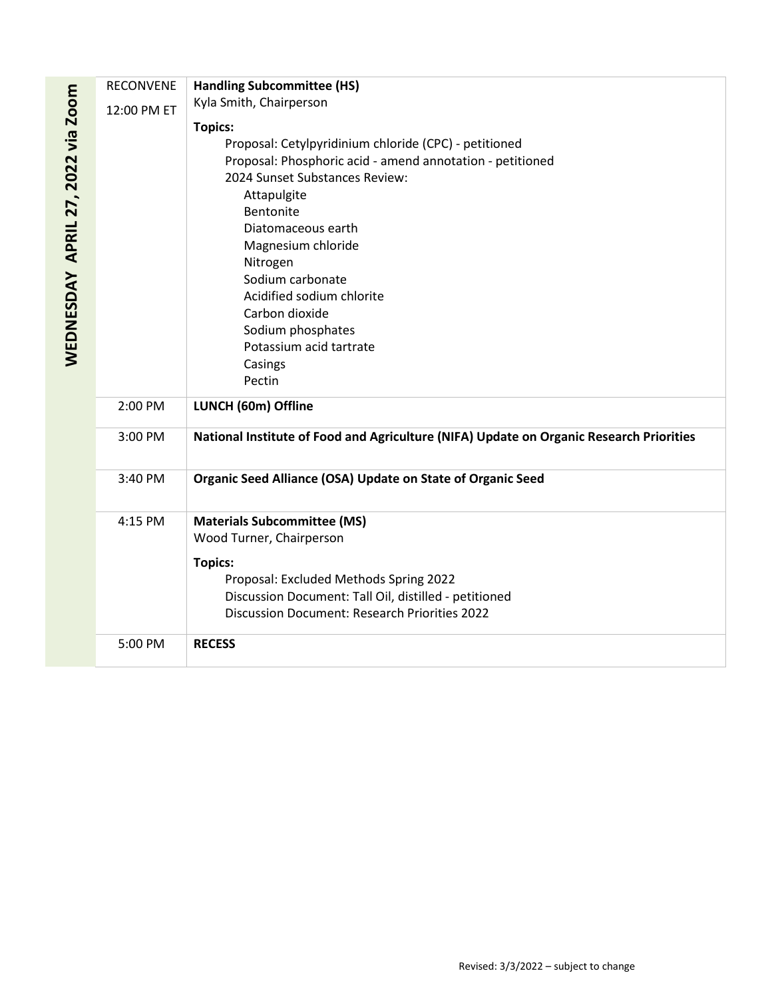|                                   | <b>RECONVENE</b> | <b>Handling Subcommittee (HS)</b>                                                       |
|-----------------------------------|------------------|-----------------------------------------------------------------------------------------|
| WEDNESDAY APRIL 27, 2022 via Zoom | 12:00 PM ET      | Kyla Smith, Chairperson                                                                 |
|                                   |                  | <b>Topics:</b>                                                                          |
|                                   |                  | Proposal: Cetylpyridinium chloride (CPC) - petitioned                                   |
|                                   |                  | Proposal: Phosphoric acid - amend annotation - petitioned                               |
|                                   |                  | 2024 Sunset Substances Review:                                                          |
|                                   |                  | Attapulgite                                                                             |
|                                   |                  | Bentonite                                                                               |
|                                   |                  | Diatomaceous earth                                                                      |
|                                   |                  | Magnesium chloride                                                                      |
|                                   |                  | Nitrogen                                                                                |
|                                   |                  | Sodium carbonate                                                                        |
|                                   |                  | Acidified sodium chlorite                                                               |
|                                   |                  | Carbon dioxide                                                                          |
|                                   |                  | Sodium phosphates                                                                       |
|                                   |                  | Potassium acid tartrate                                                                 |
|                                   |                  | Casings                                                                                 |
|                                   |                  | Pectin                                                                                  |
|                                   | 2:00 PM          | LUNCH (60m) Offline                                                                     |
|                                   | 3:00 PM          | National Institute of Food and Agriculture (NIFA) Update on Organic Research Priorities |
|                                   |                  |                                                                                         |
|                                   | 3:40 PM          | Organic Seed Alliance (OSA) Update on State of Organic Seed                             |
|                                   | 4:15 PM          | <b>Materials Subcommittee (MS)</b>                                                      |
|                                   |                  | Wood Turner, Chairperson                                                                |
|                                   |                  | <b>Topics:</b>                                                                          |
|                                   |                  | Proposal: Excluded Methods Spring 2022                                                  |
|                                   |                  | Discussion Document: Tall Oil, distilled - petitioned                                   |
|                                   |                  | <b>Discussion Document: Research Priorities 2022</b>                                    |
|                                   |                  |                                                                                         |
|                                   | 5:00 PM          | <b>RECESS</b>                                                                           |
|                                   |                  |                                                                                         |
|                                   |                  |                                                                                         |
|                                   |                  |                                                                                         |
|                                   |                  |                                                                                         |
|                                   |                  |                                                                                         |
|                                   |                  |                                                                                         |
|                                   |                  |                                                                                         |
|                                   |                  |                                                                                         |
|                                   |                  |                                                                                         |
|                                   |                  |                                                                                         |
|                                   |                  |                                                                                         |
|                                   |                  |                                                                                         |
|                                   |                  |                                                                                         |
|                                   |                  |                                                                                         |
|                                   |                  | Revised: 3/3/2022 - subject to change                                                   |
|                                   |                  |                                                                                         |